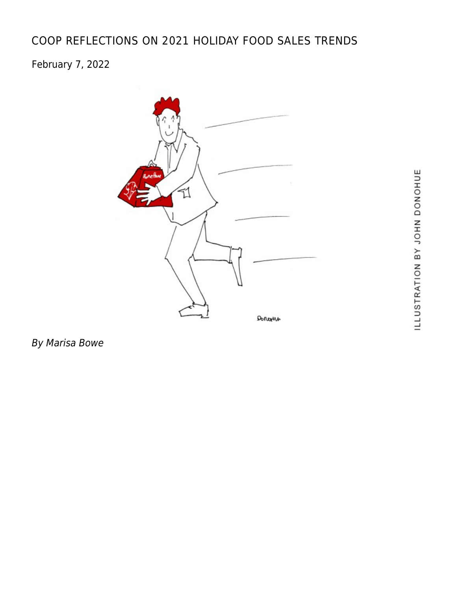# [COOP REFLECTIONS ON 2021 HOLIDAY FOOD SALES TRENDS](https://linewaitersgazette.com/2022/02/07/coop-buyers-reflect-on-2021-holiday-food-sales-trends%ef%bf%bc/)

## February 7, 2022



By Marisa Bowe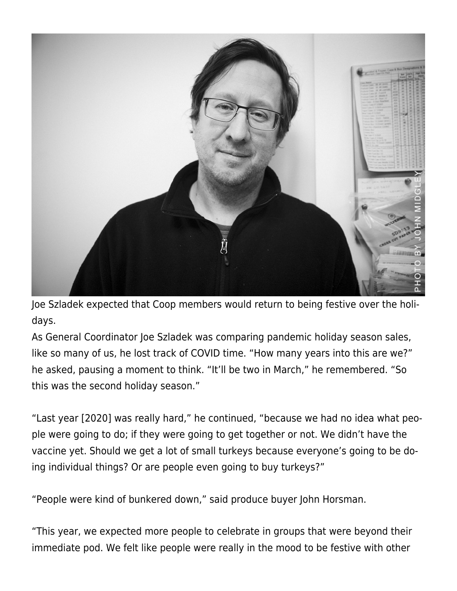

Joe Szladek expected that Coop members would return to being festive over the holidays.

As General Coordinator Joe Szladek was comparing pandemic holiday season sales, like so many of us, he lost track of COVID time. "How many years into this are we?" he asked, pausing a moment to think. "It'll be two in March," he remembered. "So this was the second holiday season."

"Last year [2020] was really hard," he continued, "because we had no idea what people were going to do; if they were going to get together or not. We didn't have the vaccine yet. Should we get a lot of small turkeys because everyone's going to be doing individual things? Or are people even going to buy turkeys?"

"People were kind of bunkered down," said produce buyer John Horsman.

"This year, we expected more people to celebrate in groups that were beyond their immediate pod. We felt like people were really in the mood to be festive with other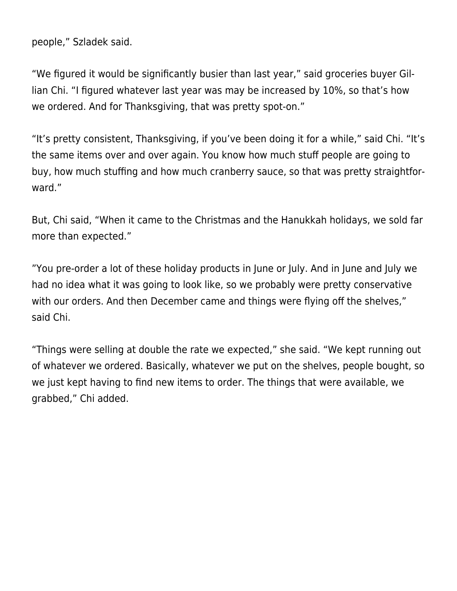people," Szladek said.

"We figured it would be significantly busier than last year," said groceries buyer Gillian Chi. "I figured whatever last year was may be increased by 10%, so that's how we ordered. And for Thanksgiving, that was pretty spot-on."

"It's pretty consistent, Thanksgiving, if you've been doing it for a while," said Chi. "It's the same items over and over again. You know how much stuff people are going to buy, how much stuffing and how much cranberry sauce, so that was pretty straightforward."

But, Chi said, "When it came to the Christmas and the Hanukkah holidays, we sold far more than expected."

"You pre-order a lot of these holiday products in June or July. And in June and July we had no idea what it was going to look like, so we probably were pretty conservative with our orders. And then December came and things were flying off the shelves," said Chi.

"Things were selling at double the rate we expected," she said. "We kept running out of whatever we ordered. Basically, whatever we put on the shelves, people bought, so we just kept having to find new items to order. The things that were available, we grabbed," Chi added.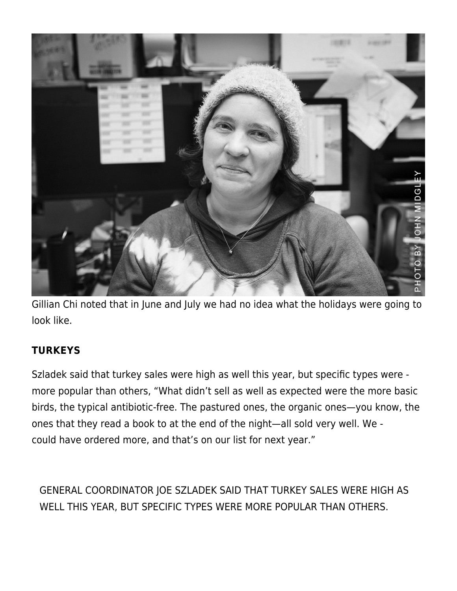

Gillian Chi noted that in June and July we had no idea what the holidays were going to look like.

### **TURKEYS**

Szladek said that turkey sales were high as well this year, but specific types were more popular than others, "What didn't sell as well as expected were the more basic birds, the typical antibiotic-free. The pastured ones, the organic ones—you know, the ones that they read a book to at the end of the night—all sold very well. We could have ordered more, and that's on our list for next year."

GENERAL COORDINATOR JOE SZLADEK SAID THAT TURKEY SALES WERE HIGH AS WELL THIS YEAR, BUT SPECIFIC TYPES WERE MORE POPULAR THAN OTHERS.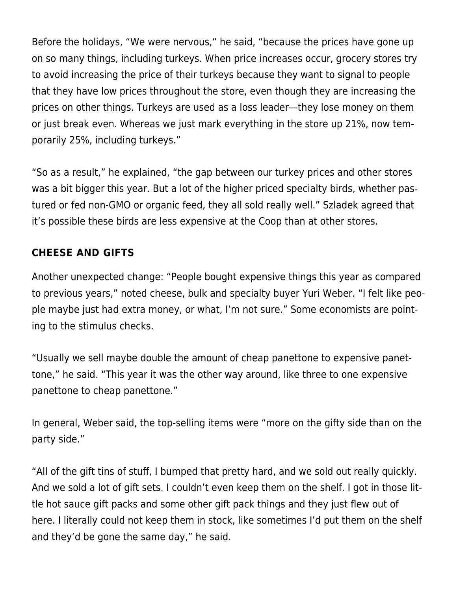Before the holidays, "We were nervous," he said, "because the prices have gone up on so many things, including turkeys. When price increases occur, grocery stores try to avoid increasing the price of their turkeys because they want to signal to people that they have low prices throughout the store, even though they are increasing the prices on other things. Turkeys are used as a loss leader—they lose money on them or just break even. Whereas we just mark everything in the store up 21%, now temporarily 25%, including turkeys."

"So as a result," he explained, "the gap between our turkey prices and other stores was a bit bigger this year. But a lot of the higher priced specialty birds, whether pastured or fed non-GMO or organic feed, they all sold really well." Szladek agreed that it's possible these birds are less expensive at the Coop than at other stores.

### **CHEESE AND GIFTS**

Another unexpected change: "People bought expensive things this year as compared to previous years," noted cheese, bulk and specialty buyer Yuri Weber. "I felt like people maybe just had extra money, or what, I'm not sure." Some economists are pointing to the stimulus checks.

"Usually we sell maybe double the amount of cheap panettone to expensive panettone," he said. "This year it was the other way around, like three to one expensive panettone to cheap panettone."

In general, Weber said, the top-selling items were "more on the gifty side than on the party side."

"All of the gift tins of stuff, I bumped that pretty hard, and we sold out really quickly. And we sold a lot of gift sets. I couldn't even keep them on the shelf. I got in those little hot sauce gift packs and some other gift pack things and they just flew out of here. I literally could not keep them in stock, like sometimes I'd put them on the shelf and they'd be gone the same day," he said.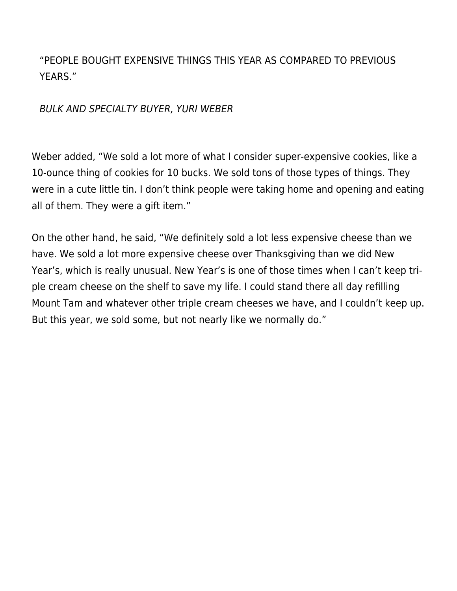"PEOPLE BOUGHT EXPENSIVE THINGS THIS YEAR AS COMPARED TO PREVIOUS YEARS."

BULK AND SPECIALTY BUYER, YURI WEBER

Weber added, "We sold a lot more of what I consider super-expensive cookies, like a 10-ounce thing of cookies for 10 bucks. We sold tons of those types of things. They were in a cute little tin. I don't think people were taking home and opening and eating all of them. They were a gift item."

On the other hand, he said, "We definitely sold a lot less expensive cheese than we have. We sold a lot more expensive cheese over Thanksgiving than we did New Year's, which is really unusual. New Year's is one of those times when I can't keep triple cream cheese on the shelf to save my life. I could stand there all day refilling Mount Tam and whatever other triple cream cheeses we have, and I couldn't keep up. But this year, we sold some, but not nearly like we normally do."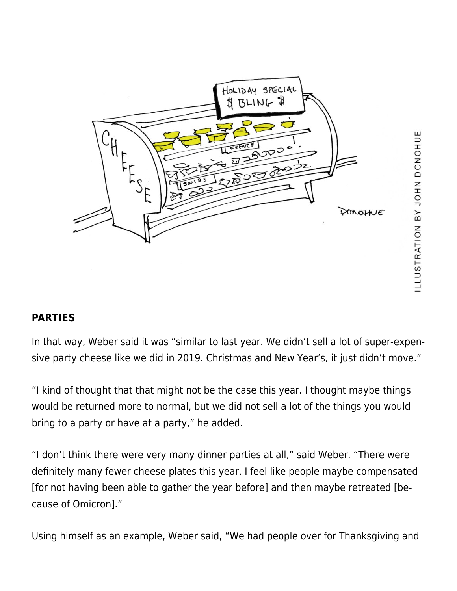

#### **PARTIES**

In that way, Weber said it was "similar to last year. We didn't sell a lot of super-expensive party cheese like we did in 2019. Christmas and New Year's, it just didn't move."

"I kind of thought that that might not be the case this year. I thought maybe things would be returned more to normal, but we did not sell a lot of the things you would bring to a party or have at a party," he added.

"I don't think there were very many dinner parties at all," said Weber. "There were definitely many fewer cheese plates this year. I feel like people maybe compensated [for not having been able to gather the year before] and then maybe retreated [because of Omicron]."

Using himself as an example, Weber said, "We had people over for Thanksgiving and